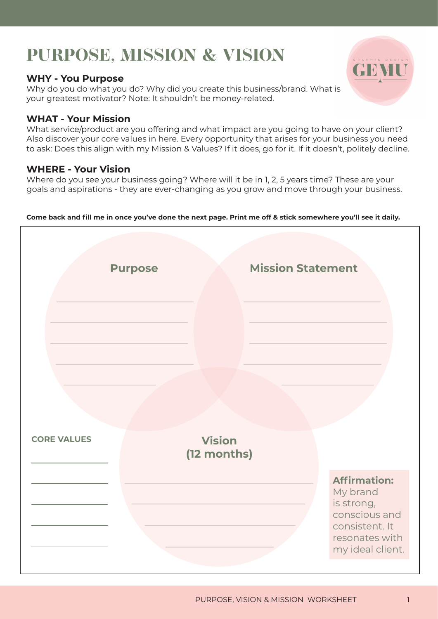# **PURPOSE, MISSION & VISION**

### **WHY - You Purpose**

Why do you do what you do? Why did you create this business/brand. What is your greatest motivator? Note: It shouldn't be money-related.

### **WHAT - Your Mission**

What service/product are you offering and what impact are you going to have on your client? Also discover your core values in here. Every opportunity that arises for your business you need to ask: Does this align with my Mission & Values? If it does, go for it. If it doesn't, politely decline.

## **WHERE - Your Vision**

Where do you see your business going? Where will it be in 1, 2, 5 years time? These are your goals and aspirations - they are ever-changing as you grow and move through your business.

**Come back and fill me in once you've done the next page. Print me off & stick somewhere you'll see it daily.**

|                    | <b>Purpose</b>               | <b>Mission Statement</b> |                                                                                                                        |
|--------------------|------------------------------|--------------------------|------------------------------------------------------------------------------------------------------------------------|
| <b>CORE VALUES</b> | <b>Vision</b><br>(12 months) |                          | <b>Affirmation:</b><br>My brand<br>is strong,<br>conscious and<br>consistent. It<br>resonates with<br>my ideal client. |

GEMU